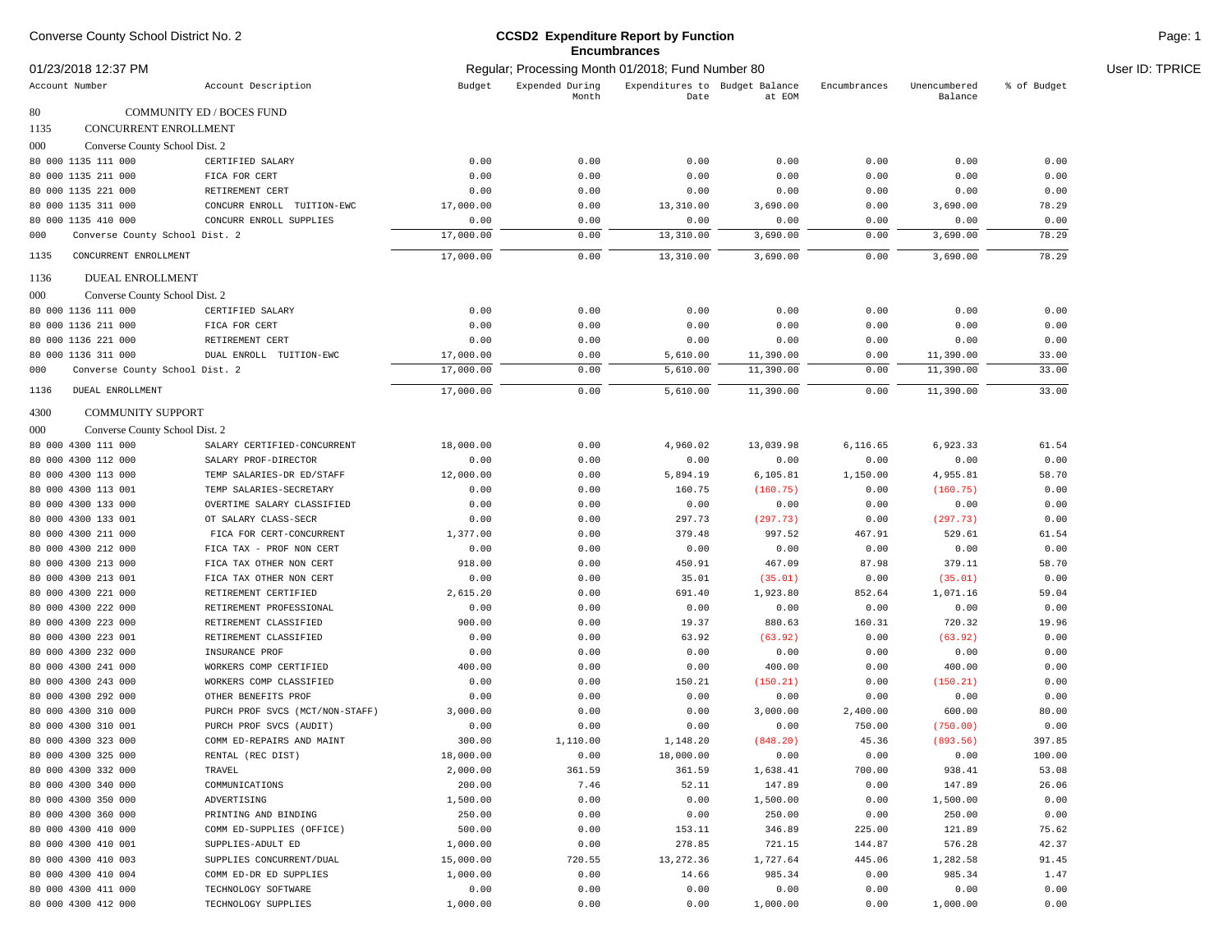| Converse County School District No. 2<br>01/23/2018 12:37 PM |                                                   |                                                   | <b>CCSD2 Expenditure Report by Function</b><br><b>Encumbrances</b> |                                        | Page: 1            |                |                         |             |                 |
|--------------------------------------------------------------|---------------------------------------------------|---------------------------------------------------|--------------------------------------------------------------------|----------------------------------------|--------------------|----------------|-------------------------|-------------|-----------------|
|                                                              |                                                   | Regular; Processing Month 01/2018; Fund Number 80 |                                                                    |                                        |                    |                |                         |             | User ID: TPRICE |
| Account Number                                               | Account Description                               | Budget                                            | Expended During<br>Month                                           | Expenditures to Budget Balance<br>Date | at EOM             | Encumbrances   | Unencumbered<br>Balance | % of Budget |                 |
| 80                                                           | COMMUNITY ED / BOCES FUND                         |                                                   |                                                                    |                                        |                    |                |                         |             |                 |
| CONCURRENT ENROLLMENT<br>1135                                |                                                   |                                                   |                                                                    |                                        |                    |                |                         |             |                 |
| 000<br>Converse County School Dist. 2                        |                                                   |                                                   |                                                                    |                                        |                    |                |                         |             |                 |
| 80 000 1135 111 000                                          | CERTIFIED SALARY                                  | 0.00                                              | 0.00                                                               | 0.00                                   | 0.00               | 0.00           | 0.00                    | 0.00        |                 |
| 80 000 1135 211 000                                          | FICA FOR CERT                                     | 0.00                                              | 0.00                                                               | 0.00                                   | 0.00               | 0.00           | 0.00                    | 0.00        |                 |
| 80 000 1135 221 000                                          | RETIREMENT CERT                                   | 0.00                                              | 0.00                                                               | 0.00                                   | 0.00               | 0.00           | 0.00                    | 0.00        |                 |
| 80 000 1135 311 000                                          | CONCURR ENROLL TUITION-EWC                        | 17,000.00                                         | 0.00                                                               | 13,310.00                              | 3,690.00           | 0.00           | 3,690.00                | 78.29       |                 |
| 80 000 1135 410 000                                          | CONCURR ENROLL SUPPLIES                           | 0.00                                              | 0.00                                                               | 0.00                                   | 0.00               | 0.00           | 0.00                    | 0.00        |                 |
| Converse County School Dist. 2<br>000                        |                                                   | 17,000.00                                         | 0.00                                                               | 13,310.00                              | 3,690.00           | 0.00           | 3,690.00                | 78.29       |                 |
| 1135<br>CONCURRENT ENROLLMENT                                |                                                   | 17,000.00                                         | 0.00                                                               | 13,310.00                              | 3,690.00           | 0.00           | 3,690.00                | 78.29       |                 |
| 1136<br>DUEAL ENROLLMENT                                     |                                                   |                                                   |                                                                    |                                        |                    |                |                         |             |                 |
| 000<br>Converse County School Dist. 2                        |                                                   |                                                   |                                                                    |                                        |                    |                |                         |             |                 |
| 80 000 1136 111 000                                          | CERTIFIED SALARY                                  | 0.00                                              | 0.00                                                               | 0.00                                   | 0.00               | 0.00           | 0.00                    | 0.00        |                 |
| 80 000 1136 211 000                                          | FICA FOR CERT                                     | 0.00                                              | 0.00                                                               | 0.00                                   | 0.00               | 0.00           | 0.00                    | 0.00        |                 |
| 80 000 1136 221 000                                          | RETIREMENT CERT                                   | 0.00                                              | 0.00                                                               | 0.00                                   | 0.00               | 0.00           | 0.00                    | 0.00        |                 |
| 80 000 1136 311 000                                          | DUAL ENROLL TUITION-EWC                           | 17,000.00                                         | 0.00                                                               | 5,610.00                               | 11,390.00          | 0.00           | 11,390.00               | 33.00       |                 |
| Converse County School Dist. 2<br>000                        |                                                   | 17,000.00                                         | 0.00                                                               | 5,610.00                               | 11,390.00          | 0.00           | 11,390.00               | 33.00       |                 |
| <b>DUEAL ENROLLMENT</b><br>1136                              |                                                   | 17,000.00                                         | 0.00                                                               | 5,610.00                               | 11,390.00          | 0.00           | 11,390.00               | 33.00       |                 |
| 4300<br><b>COMMUNITY SUPPORT</b>                             |                                                   |                                                   |                                                                    |                                        |                    |                |                         |             |                 |
| 000<br>Converse County School Dist. 2                        |                                                   |                                                   |                                                                    |                                        |                    |                |                         |             |                 |
| 80 000 4300 111 000                                          | SALARY CERTIFIED-CONCURRENT                       | 18,000.00                                         | 0.00                                                               | 4,960.02                               | 13,039.98          | 6,116.65       | 6,923.33                | 61.54       |                 |
| 80 000 4300 112 000                                          | SALARY PROF-DIRECTOR                              | 0.00                                              | 0.00                                                               | 0.00                                   | 0.00               | 0.00           | 0.00                    | 0.00        |                 |
| 80 000 4300 113 000                                          | TEMP SALARIES-DR ED/STAFF                         | 12,000.00                                         | 0.00                                                               | 5,894.19                               | 6, 105.81          | 1,150.00       | 4,955.81                | 58.70       |                 |
| 80 000 4300 113 001                                          | TEMP SALARIES-SECRETARY                           | 0.00                                              | 0.00                                                               | 160.75                                 | (160.75)           | 0.00           | (160.75)                | 0.00        |                 |
| 80 000 4300 133 000                                          | OVERTIME SALARY CLASSIFIED                        | 0.00                                              | 0.00                                                               | 0.00                                   | 0.00               | 0.00           | 0.00                    | 0.00        |                 |
| 80 000 4300 133 001                                          | OT SALARY CLASS-SECR                              | 0.00                                              | 0.00                                                               | 297.73                                 | (297.73)           | 0.00           | (297.73)                | 0.00        |                 |
| 80 000 4300 211 000                                          | FICA FOR CERT-CONCURRENT                          | 1,377.00                                          | 0.00                                                               | 379.48                                 | 997.52             | 467.91         | 529.61                  | 61.54       |                 |
| 80 000 4300 212 000                                          | FICA TAX - PROF NON CERT                          | 0.00                                              | 0.00                                                               | 0.00                                   | 0.00               | 0.00           | 0.00                    | 0.00        |                 |
| 80 000 4300 213 000                                          | FICA TAX OTHER NON CERT                           | 918.00                                            | 0.00                                                               | 450.91                                 | 467.09             | 87.98          | 379.11                  | 58.70       |                 |
| 80 000 4300 213 001                                          | FICA TAX OTHER NON CERT                           | 0.00                                              | 0.00                                                               | 35.01                                  | (35.01)            | 0.00           | (35.01)                 | 0.00        |                 |
| 80 000 4300 221 000                                          | RETIREMENT CERTIFIED                              | 2,615.20                                          | 0.00                                                               | 691.40                                 | 1,923.80           | 852.64         | 1,071.16                | 59.04       |                 |
| 80 000 4300 222 000                                          | RETIREMENT PROFESSIONAL                           | 0.00                                              | 0.00                                                               | 0.00                                   | 0.00               | 0.00           | 0.00                    | 0.00        |                 |
| 80 000 4300 223 000                                          | RETIREMENT CLASSIFIED                             | 900.00                                            | 0.00                                                               | 19.37                                  | 880.63             | 160.31         | 720.32                  | 19.96       |                 |
| 80 000 4300 223 001                                          | RETIREMENT CLASSIFIED                             | 0.00                                              | 0.00                                                               | 63.92                                  | (63.92)            | 0.00           | (63.92)                 | 0.00        |                 |
| 80 000 4300 232 000                                          | INSURANCE PROF                                    | 0.00                                              | 0.00                                                               | 0.00                                   | 0.00               | 0.00           | 0.00                    | 0.00        |                 |
| 80 000 4300 241 000                                          | WORKERS COMP CERTIFIED                            | 400.00                                            | 0.00                                                               | 0.00                                   | 400.00             | 0.00           | 400.00                  | 0.00        |                 |
| 80 000 4300 243 000                                          | WORKERS COMP CLASSIFIED                           | 0.00                                              | 0.00                                                               | 150.21                                 | (150.21)           | 0.00           | (150.21)                | 0.00        |                 |
| 80 000 4300 292 000                                          | OTHER BENEFITS PROF                               | 0.00                                              | 0.00                                                               | 0.00                                   | 0.00               | 0.00           | 0.00                    | 0.00        |                 |
| 80 000 4300 310 000                                          | PURCH PROF SVCS (MCT/NON-STAFF)                   | 3,000.00                                          | 0.00                                                               | 0.00                                   | 3,000.00           | 2,400.00       | 600.00                  | 80.00       |                 |
| 80 000 4300 310 001                                          | PURCH PROF SVCS (AUDIT)                           | 0.00                                              | 0.00                                                               | 0.00                                   | 0.00               | 750.00         | (750.00)                | 0.00        |                 |
| 80 000 4300 323 000                                          | COMM ED-REPAIRS AND MAINT                         | 300.00                                            | 1,110.00                                                           | 1,148.20                               | (848.20)           | 45.36          | (893.56)                | 397.85      |                 |
| 80 000 4300 325 000                                          | RENTAL (REC DIST)                                 | 18,000.00                                         | 0.00                                                               | 18,000.00                              | 0.00               | 0.00           | 0.00                    | 100.00      |                 |
| 80 000 4300 332 000                                          | TRAVEL                                            | 2,000.00                                          | 361.59                                                             | 361.59                                 | 1,638.41           | 700.00         | 938.41                  | 53.08       |                 |
| 80 000 4300 340 000                                          | COMMUNICATIONS                                    | 200.00                                            | 7.46                                                               | 52.11                                  | 147.89             | 0.00           | 147.89                  | 26.06       |                 |
| 80 000 4300 350 000                                          | ADVERTISING                                       | 1,500.00                                          | 0.00                                                               | 0.00                                   | 1,500.00           | 0.00           | 1,500.00                | 0.00        |                 |
| 80 000 4300 360 000                                          |                                                   | 250.00                                            | 0.00                                                               | 0.00                                   | 250.00             | 0.00           | 250.00                  | 0.00        |                 |
| 80 000 4300 410 000                                          | PRINTING AND BINDING<br>COMM ED-SUPPLIES (OFFICE) | 500.00                                            | 0.00                                                               | 153.11                                 | 346.89             | 225.00         | 121.89                  | 75.62       |                 |
| 80 000 4300 410 001                                          | SUPPLIES-ADULT ED                                 | 1,000.00                                          | 0.00                                                               | 278.85                                 | 721.15             | 144.87         | 576.28                  | 42.37       |                 |
| 80 000 4300 410 003                                          | SUPPLIES CONCURRENT/DUAL                          | 15,000.00                                         | 720.55                                                             |                                        |                    |                |                         | 91.45       |                 |
| 80 000 4300 410 004                                          | COMM ED-DR ED SUPPLIES                            | 1,000.00                                          | 0.00                                                               | 13,272.36<br>14.66                     | 1,727.64<br>985.34 | 445.06<br>0.00 | 1,282.58<br>985.34      | 1.47        |                 |
| 80 000 4300 411 000                                          | TECHNOLOGY SOFTWARE                               | 0.00                                              | 0.00                                                               | 0.00                                   | 0.00               | 0.00           | 0.00                    | 0.00        |                 |
| 80 000 4300 412 000                                          | TECHNOLOGY SUPPLIES                               | 1,000.00                                          | 0.00                                                               | 0.00                                   | 1,000.00           | 0.00           | 1,000.00                | 0.00        |                 |
|                                                              |                                                   |                                                   |                                                                    |                                        |                    |                |                         |             |                 |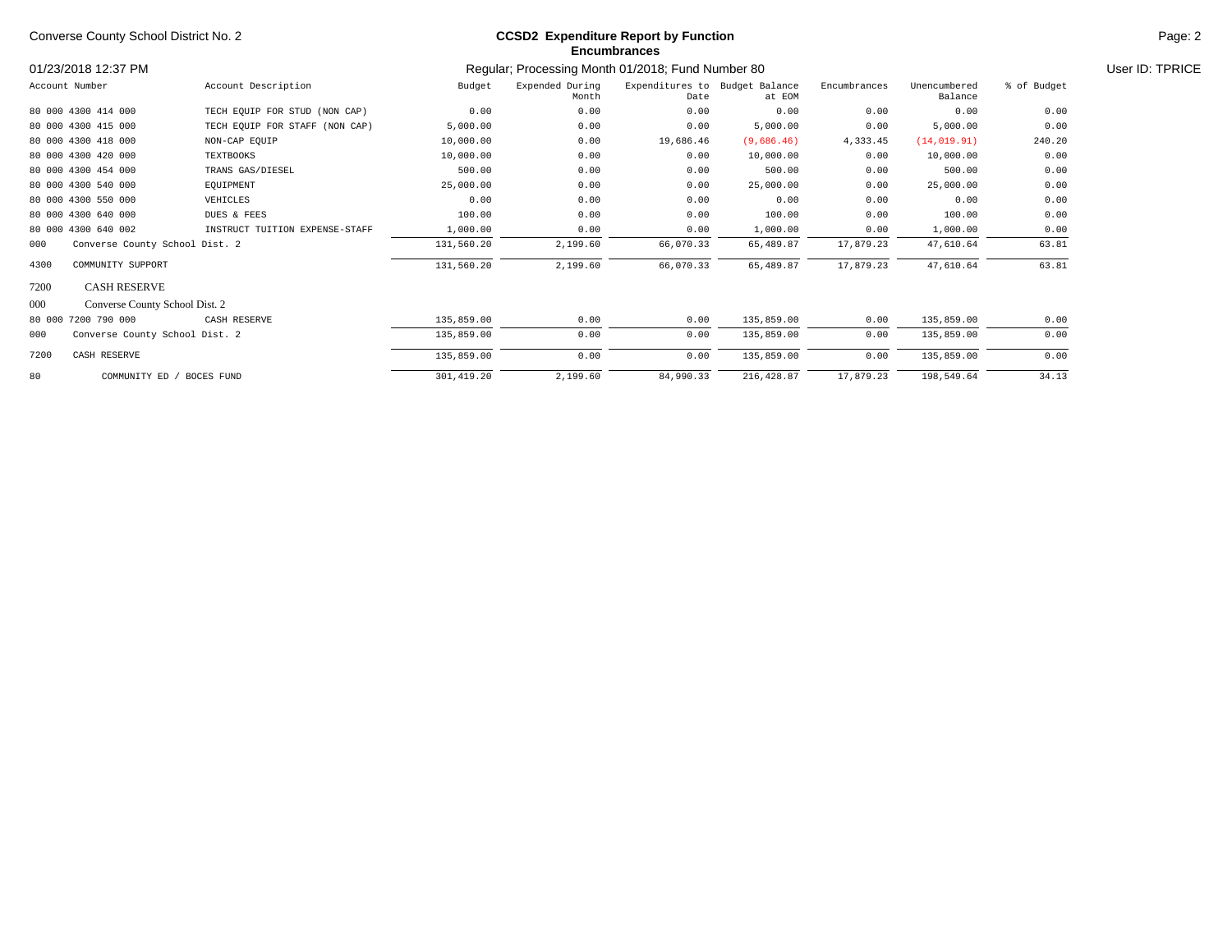| Converse County School District No. 2 |                                | <b>CCSD2</b> Expenditure Report by Function<br><b>Encumbrances</b> |                                                   |                                        |             |              |                         |                 | Page: 2 |
|---------------------------------------|--------------------------------|--------------------------------------------------------------------|---------------------------------------------------|----------------------------------------|-------------|--------------|-------------------------|-----------------|---------|
| 01/23/2018 12:37 PM                   |                                |                                                                    | Regular; Processing Month 01/2018; Fund Number 80 |                                        |             |              |                         | User ID: TPRICE |         |
| Account Number                        | Account Description            | Budget                                                             | Expended During<br>Month                          | Expenditures to Budget Balance<br>Date | at EOM      | Encumbrances | Unencumbered<br>Balance | % of Budget     |         |
| 80 000 4300 414 000                   | TECH EQUIP FOR STUD (NON CAP)  | 0.00                                                               | 0.00                                              | 0.00                                   | 0.00        | 0.00         | 0.00                    | 0.00            |         |
| 80 000 4300 415 000                   | TECH EQUIP FOR STAFF (NON CAP) | 5,000.00                                                           | 0.00                                              | 0.00                                   | 5,000.00    | 0.00         | 5,000.00                | 0.00            |         |
| 80 000 4300 418 000                   | NON-CAP EQUIP                  | 10,000.00                                                          | 0.00                                              | 19,686.46                              | (9,686.46)  | 4,333.45     | (14, 019.91)            | 240.20          |         |
| 80 000 4300 420 000                   | TEXTBOOKS                      | 10,000.00                                                          | 0.00                                              | 0.00                                   | 10,000.00   | 0.00         | 10,000.00               | 0.00            |         |
| 80 000 4300 454 000                   | TRANS GAS/DIESEL               | 500.00                                                             | 0.00                                              | 0.00                                   | 500.00      | 0.00         | 500.00                  | 0.00            |         |
| 80 000 4300 540 000                   | EQUIPMENT                      | 25,000.00                                                          | 0.00                                              | 0.00                                   | 25,000.00   | 0.00         | 25,000.00               | 0.00            |         |
| 80 000 4300 550 000                   | VEHICLES                       | 0.00                                                               | 0.00                                              | 0.00                                   | 0.00        | 0.00         | 0.00                    | 0.00            |         |
| 80 000 4300 640 000                   | DUES & FEES                    | 100.00                                                             | 0.00                                              | 0.00                                   | 100.00      | 0.00         | 100.00                  | 0.00            |         |
| 80 000 4300 640 002                   | INSTRUCT TUITION EXPENSE-STAFF | 1,000.00                                                           | 0.00                                              | 0.00                                   | 1,000.00    | 0.00         | 1,000.00                | 0.00            |         |
| Converse County School Dist. 2<br>000 |                                | 131,560.20                                                         | 2,199.60                                          | 66,070.33                              | 65,489.87   | 17,879.23    | 47,610.64               | 63.81           |         |
| COMMUNITY SUPPORT<br>4300             |                                | 131,560.20                                                         | 2,199.60                                          | 66,070.33                              | 65,489.87   | 17,879.23    | 47,610.64               | 63.81           |         |
| 7200<br><b>CASH RESERVE</b>           |                                |                                                                    |                                                   |                                        |             |              |                         |                 |         |
| 000<br>Converse County School Dist. 2 |                                |                                                                    |                                                   |                                        |             |              |                         |                 |         |
| 80 000 7200 790 000                   | CASH RESERVE                   | 135,859.00                                                         | 0.00                                              | 0.00                                   | 135,859.00  | 0.00         | 135,859.00              | 0.00            |         |
| 000<br>Converse County School Dist. 2 |                                | 135,859.00                                                         | 0.00                                              | 0.00                                   | 135,859.00  | 0.00         | 135,859.00              | 0.00            |         |
| 7200<br>CASH RESERVE                  |                                | 135,859.00                                                         | 0.00                                              | 0.00                                   | 135,859.00  | 0.00         | 135,859.00              | 0.00            |         |
| 80<br>COMMUNITY ED / BOCES FUND       |                                | 301, 419.20                                                        | 2,199.60                                          | 84,990.33                              | 216, 428.87 | 17,879.23    | 198,549.64              | 34.13           |         |